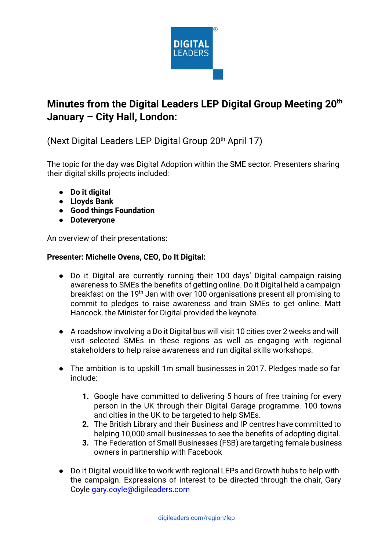

# **Minutes from the Digital Leaders LEP Digital Group Meeting 20 th January – City Hall, London:**

(Next Digital Leaders LEP Digital Group  $20<sup>th</sup>$  April 17)

The topic for the day was Digital Adoption within the SME sector. Presenters sharing their digital skills projects included:

- **● Do it digital**
- **● Lloyds Bank**
- **● Good things Foundation**
- **Doteveryone**

An overview of their presentations:

## **Presenter: Michelle Ovens, CEO, Do It Digital:**

- **●** Do it Digital are currently running their 100 days' Digital campaign raising awareness to SMEs the benefits of getting online. Do it Digital held a campaign breakfast on the 19<sup>th</sup> Jan with over 100 organisations present all promising to commit to pledges to raise awareness and train SMEs to get online. Matt Hancock, the Minister for Digital provided the keynote.
- **●** A roadshow involving a Do it Digital bus will visit 10 cities over 2 weeks and will visit selected SMEs in these regions as well as engaging with regional stakeholders to help raise awareness and run digital skills workshops.
- **●** The ambition is to upskill 1m small businesses in 2017. Pledges made so far include:
	- **1.** Google have committed to delivering 5 hours of free training for every person in the UK through their Digital Garage programme. 100 towns and cities in the UK to be targeted to help SMEs.
	- **2.** The British Library and their Business and IP centres have committed to helping 10,000 small businesses to see the benefits of adopting digital.
	- **3.** The Federation of Small Businesses (FSB) are targeting female business owners in partnership with Facebook
- Do it Digital would like to work with regional LEPs and Growth hubs to help with the campaign. Expressions of interest to be directed through the chair, Gary Coyle [gary.coyle@digileaders.com](mailto:gary.coyle@digileaders.com)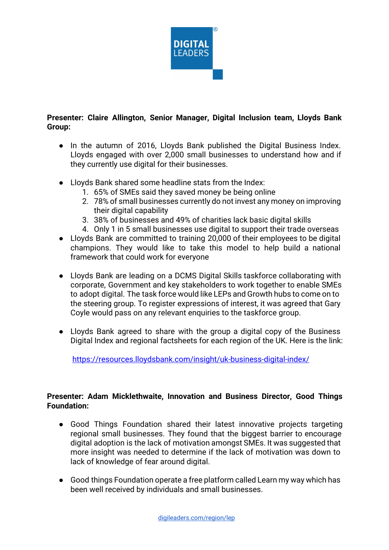

#### **Presenter: Claire Allington, Senior Manager, Digital Inclusion team, Lloyds Bank Group:**

- In the autumn of 2016, Lloyds Bank published the Digital Business Index. Lloyds engaged with over 2,000 small businesses to understand how and if they currently use digital for their businesses.
- Lloyds Bank shared some headline stats from the Index:
	- 1. 65% of SMEs said they saved money be being online
	- 2. 78% of small businesses currently do not invest any money on improving their digital capability
	- 3. 38% of businesses and 49% of charities lack basic digital skills
	- 4. Only 1 in 5 small businesses use digital to support their trade overseas
- Lloyds Bank are committed to training 20,000 of their employees to be digital champions. They would like to take this model to help build a national framework that could work for everyone
- Lloyds Bank are leading on a DCMS Digital Skills taskforce collaborating with corporate, Government and key stakeholders to work together to enable SMEs to adopt digital. The task force would like LEPs and Growth hubs to come on to the steering group. To register expressions of interest, it was agreed that Gary Coyle would pass on any relevant enquiries to the taskforce group.
- Lloyds Bank agreed to share with the group a digital copy of the Business Digital Index and regional factsheets for each region of the UK. Here is the link:

<https://resources.lloydsbank.com/insight/uk-business-digital-index/>

## **Presenter: Adam Micklethwaite, Innovation and Business Director, Good Things Foundation:**

- **●** Good Things Foundation shared their latest innovative projects targeting regional small businesses. They found that the biggest barrier to encourage digital adoption is the lack of motivation amongst SMEs. It was suggested that more insight was needed to determine if the lack of motivation was down to lack of knowledge of fear around digital.
- **●** Good things Foundation operate a free platform called Learn my way which has been well received by individuals and small businesses.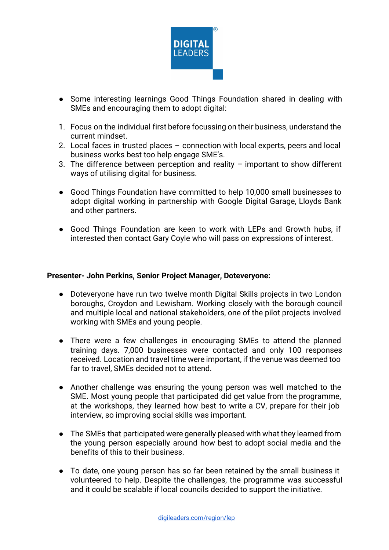

- **●** Some interesting learnings Good Things Foundation shared in dealing with SMEs and encouraging them to adopt digital:
- 1. Focus on the individual first before focussing on their business, understand the current mindset.
- 2. Local faces in trusted places connection with local experts, peers and local business works best too help engage SME's.
- 3. The difference between perception and reality important to show different ways of utilising digital for business.
- Good Things Foundation have committed to help 10,000 small businesses to adopt digital working in partnership with Google Digital Garage, Lloyds Bank and other partners.
- Good Things Foundation are keen to work with LEPs and Growth hubs, if interested then contact Gary Coyle who will pass on expressions of interest.

#### **Presenter- John Perkins, Senior Project Manager, Doteveryone:**

- Doteveryone have run two twelve month Digital Skills projects in two London boroughs, Croydon and Lewisham. Working closely with the borough council and multiple local and national stakeholders, one of the pilot projects involved working with SMEs and young people.
- There were a few challenges in encouraging SMEs to attend the planned training days. 7,000 businesses were contacted and only 100 responses received. Location and travel time were important, if the venue was deemed too far to travel, SMEs decided not to attend.
- Another challenge was ensuring the young person was well matched to the SME. Most young people that participated did get value from the programme, at the workshops, they learned how best to write a CV, prepare for their job interview, so improving social skills was important.
- The SMEs that participated were generally pleased with what they learned from the young person especially around how best to adopt social media and the benefits of this to their business.
- To date, one young person has so far been retained by the small business it volunteered to help. Despite the challenges, the programme was successful and it could be scalable if local councils decided to support the initiative.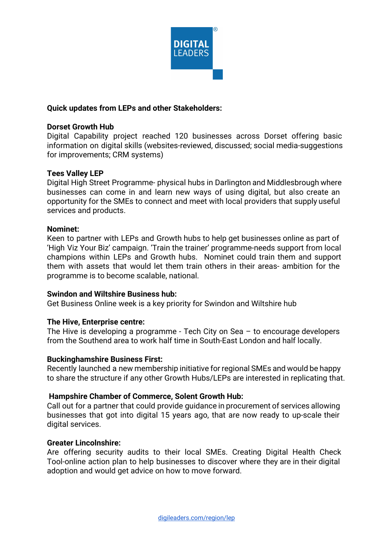

### **Quick updates from LEPs and other Stakeholders:**

#### **Dorset Growth Hub**

Digital Capability project reached 120 businesses across Dorset offering basic information on digital skills (websites-reviewed, discussed; social media-suggestions for improvements; CRM systems)

#### **Tees Valley LEP**

Digital High Street Programme- physical hubs in Darlington and Middlesbrough where businesses can come in and learn new ways of using digital, but also create an opportunity for the SMEs to connect and meet with local providers that supply useful services and products.

#### **Nominet:**

Keen to partner with LEPs and Growth hubs to help get businesses online as part of 'High Viz Your Biz' campaign. 'Train the trainer' programme-needs support from local champions within LEPs and Growth hubs. Nominet could train them and support them with assets that would let them train others in their areas- ambition for the programme is to become scalable, national.

#### **Swindon and Wiltshire Business hub:**

Get Business Online week is a key priority for Swindon and Wiltshire hub

#### **The Hive, Enterprise centre:**

The Hive is developing a programme - Tech City on Sea – to encourage developers from the Southend area to work half time in South-East London and half locally.

#### **Buckinghamshire Business First:**

Recently launched a new membership initiative for regional SMEs and would be happy to share the structure if any other Growth Hubs/LEPs are interested in replicating that.

#### **Hampshire Chamber of Commerce, Solent Growth Hub:**

Call out for a partner that could provide guidance in procurement of services allowing businesses that got into digital 15 years ago, that are now ready to up-scale their digital services.

#### **Greater Lincolnshire:**

Are offering security audits to their local SMEs. Creating Digital Health Check Tool-online action plan to help businesses to discover where they are in their digital adoption and would get advice on how to move forward.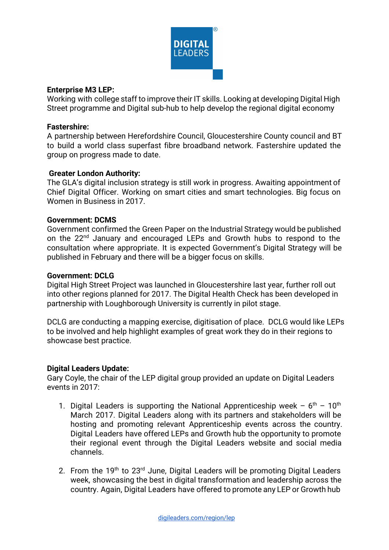

#### **Enterprise M3 LEP:**

Working with college staff to improve their IT skills. Looking at developing Digital High Street programme and Digital sub-hub to help develop the regional digital economy

#### **Fastershire:**

A partnership between Herefordshire Council, Gloucestershire County council and BT to build a world class superfast fibre broadband network. Fastershire updated the group on progress made to date.

#### **Greater London Authority:**

The GLA's digital inclusion strategy is still work in progress. Awaiting appointment of Chief Digital Officer. Working on smart cities and smart technologies. Big focus on Women in Business in 2017.

#### **Government: DCMS**

Government confirmed the Green Paper on the Industrial Strategy would be published on the 22<sup>nd</sup> January and encouraged LEPs and Growth hubs to respond to the consultation where appropriate. It is expected Government's Digital Strategy will be published in February and there will be a bigger focus on skills.

#### **Government: DCLG**

Digital High Street Project was launched in Gloucestershire last year, further roll out into other regions planned for 2017. The Digital Health Check has been developed in partnership with Loughborough University is currently in pilot stage.

DCLG are conducting a mapping exercise, digitisation of place. DCLG would like LEPs to be involved and help highlight examples of great work they do in their regions to showcase best practice.

#### **Digital Leaders Update:**

Gary Coyle, the chair of the LEP digital group provided an update on Digital Leaders events in 2017:

- 1. Digital Leaders is supporting the National Apprenticeship week  $-6<sup>th</sup> 10<sup>th</sup>$ March 2017. Digital Leaders along with its partners and stakeholders will be hosting and promoting relevant Apprenticeship events across the country. Digital Leaders have offered LEPs and Growth hub the opportunity to promote their regional event through the Digital Leaders website and social media channels.
- 2. From the  $19<sup>th</sup>$  to  $23<sup>rd</sup>$  June, Digital Leaders will be promoting Digital Leaders week, showcasing the best in digital transformation and leadership across the country. Again, Digital Leaders have offered to promote any LEP or Growth hub